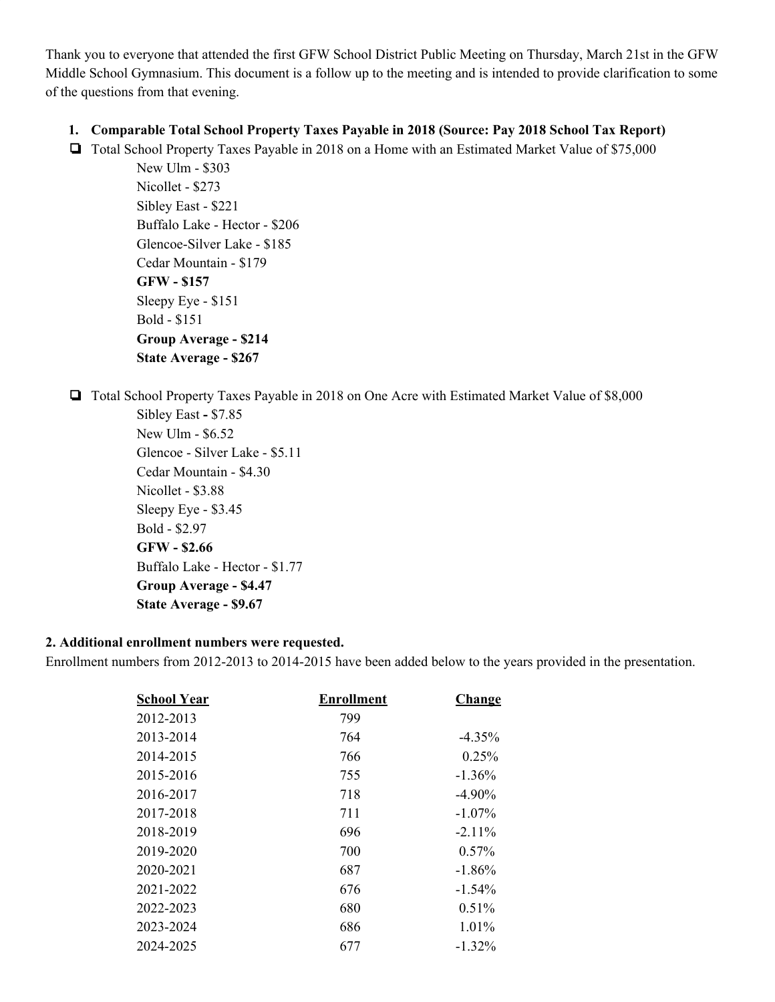Thank you to everyone that attended the first GFW School District Public Meeting on Thursday, March 21st in the GFW Middle School Gymnasium. This document is a follow up to the meeting and is intended to provide clarification to some of the questions from that evening.

## **1. Comparable Total School Property Taxes Payable in 2018 (Source: Pay 2018 School Tax Report)**

❏ Total School Property Taxes Payable in 2018 on a Home with an Estimated Market Value of \$75,000

New Ulm - \$303 Nicollet - \$273 Sibley East - \$221 Buffalo Lake - Hector - \$206 Glencoe-Silver Lake - \$185 Cedar Mountain - \$179 **GFW - \$157** Sleepy Eye - \$151 Bold - \$151 **Group Average - \$214 State Average - \$267**

❏ Total School Property Taxes Payable in 2018 on One Acre with Estimated Market Value of \$8,000

Sibley East **-** \$7.85 New Ulm - \$6.52 Glencoe - Silver Lake - \$5.11 Cedar Mountain - \$4.30 Nicollet - \$3.88 Sleepy Eye - \$3.45 Bold - \$2.97 **GFW - \$2.66** Buffalo Lake - Hector - \$1.77 **Group Average - \$4.47 State Average - \$9.67**

## **2. Additional enrollment numbers were requested.**

Enrollment numbers from 2012-2013 to 2014-2015 have been added below to the years provided in the presentation.

| <b>School Year</b> | <b>Enrollment</b> | <b>Change</b> |
|--------------------|-------------------|---------------|
| 2012-2013          | 799               |               |
| 2013-2014          | 764               | $-4.35%$      |
| 2014-2015          | 766               | 0.25%         |
| 2015-2016          | 755               | $-1.36%$      |
| 2016-2017          | 718               | $-4.90\%$     |
| 2017-2018          | 711               | $-1.07\%$     |
| 2018-2019          | 696               | $-2.11\%$     |
| 2019-2020          | 700               | $0.57\%$      |
| 2020-2021          | 687               | $-1.86\%$     |
| 2021-2022          | 676               | $-1.54\%$     |
| 2022-2023          | 680               | $0.51\%$      |
| 2023-2024          | 686               | $1.01\%$      |
| 2024-2025          | 677               | $-1.32\%$     |